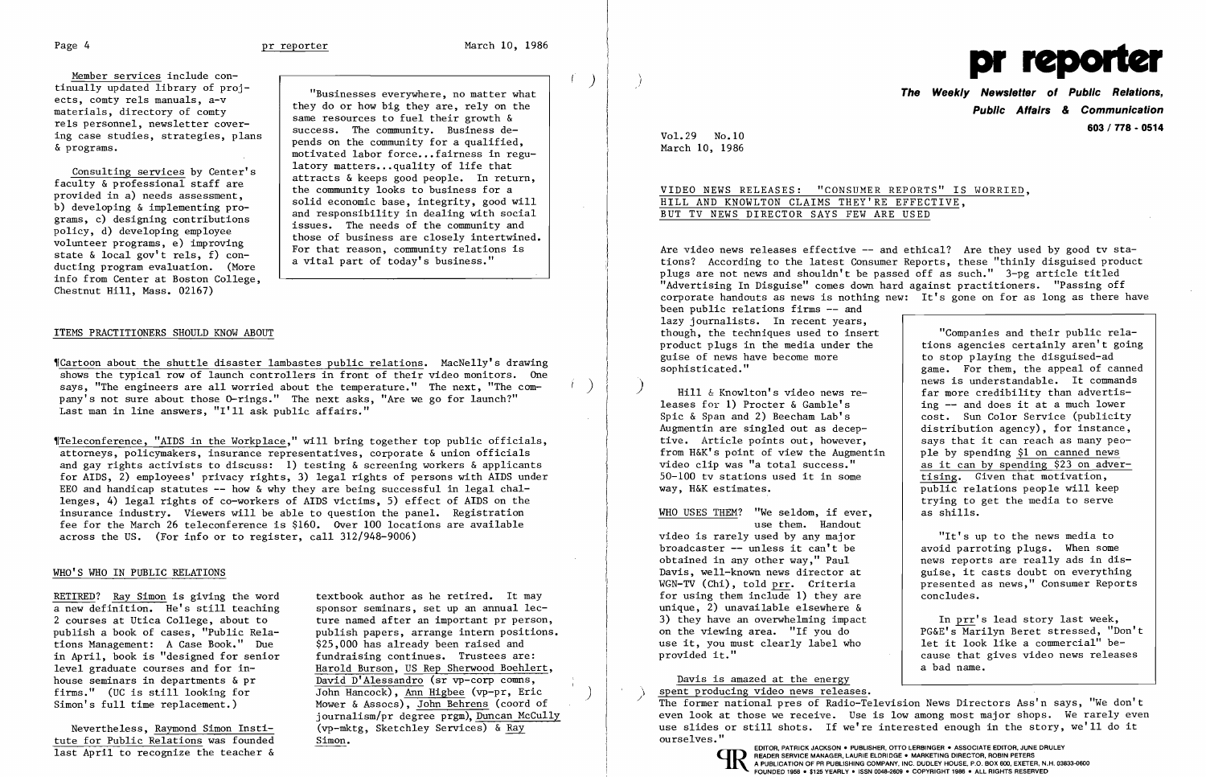Member services include con-<br>tinually updated library of projtinually updated library of proj-<br>
ects, comty rels manuals, a-v<br>
materials, directory of comty<br>
rels personnel, newsletter cover-<br>
materials, newsletter cover-<br>
materials personnel, newsletter cover-<br>
materials and they d

state a local governers, 1, con-<br>ducting program evaluation. (More ) a vital part of today's business." info from Center at Boston College, Chestnut Hill, Mass. 02167)

rels personnel, newsletter cover-<br>ing case studies, strategies, plans  $\alpha$  pends on the community for a qualified,<br> $\alpha$ <br> $\alpha$ Consulting services by Center's<br>
faculty & professional staff are<br>
provided in a) needs assessment,<br>
b) developing & implementing pro-<br>
and responsibility in dealing with social<br>
and responsibility in dealing with social b) developing a implementing pro-<br>grams, c) designing contributions<br>policy, d) developing employee<br>volunteer programs, e) improving<br>state & local gov't rels, f) con-<br>model and responsibility in dealing with social<br>for the

~rCartoon about the shuttle disaster lambastes public relations. MacNelly's drawing shows the typical row of launch controllers in front of their video monitors. One says, "The engineers are all worried about the temperature." The next, "The company's not sure about those O-rings." The next asks, "Are we go for launch?" Last man in line answers, "I'll ask public affairs."

### ITEMS PRACTITIONERS SHOULD KNOW ABOUT

 $\begin{bmatrix} \phantom{-} \\ \phantom{-} \end{bmatrix}$ f

# VIDEO NEWS RELEASES: "CONSUMER REPORTS" IS WORRIED, HILL AND KNOWLTON CLAIMS THEY'RE EFFECTIVE, BUT TV NEWS DIRECTOR SAYS FEW ARE USED

~rTeleconference, "AIDS in the Workplace," will bring together top public officials, attorneys, policymakers, insurance representatives, corporate & union officials and gay rights activists to discuss: 1) testing  $\&$  screening workers  $\&$  applicants for AIDS, 2) employees' privacy rights, 3) legal rights of persons with AIDS under EEO and handicap statutes  $--$  how & why they are being successful in legal challenges, 4) legal rights of co-workers of AIDS victims, 5) effect of AIDS on the insurance industry. Viewers will be able to question the panel. Registration fee for the March 26 teleconference is \$160. Over 100 locations are available across the US. (For info or to register, call 312/948-9006)

Are video news releases effective -- and ethical? Are they used by good tv stations? According to the latest Consumer Reports, these "thinly disguised product plugs are not news and shouldn't be passed off as such." 3-pg article titled "Advertising In Disguise" comes down hard against practitioners. "Passing off corporate handouts as news is nothing new: It's gone on for as long as there have been public relations firms -- and lazy journalists. In recent years, though, the techniques used to insert product plugs in the media under the "Companies and their public relations agencies certainly aren't going guise of news have become more sophisticated." to stop playing the disguised-ad

## WHO'S WHO IN PUBLIC RELATIONS

publish a book of cases, "Public Rela-<br>tions Management: A Case Book," Due \$25,000 has already been raised and tions Management: A Case Book." Due \$25,000 has already been raised and<br>in April, book is "designed for senior fundraising continues. Trustees are: in April, book is "designed for senior<br>level graduate courses and for inhouse seminars in departments & pr<br>
firms." (UC is still looking for John Hancock), Ann Higbee (vp-pr, Eric

Hill  $&$  Knowlton's video news re-<br>leases for 1) Procter  $&$  Gamble's leases for 1) Procter & Gamble's ing -- and does it at a much lower<br>Spic & Span and 2) Beecham Lab's cost. Sun Color Service (publicity Spic & Span and 2) Beecham Lab's <br>Augmentin are singled out as decep-<br>distribution agency), for instance, tive. Article points out, however,<br>
from H&K's point of view the Augmentin | ple by spending \$1 on canned news from H&K's point of view the Augmentin video clip was "a total success." 50-100 tv stations used it in some

> avoid parroting plugs. When some<br>news reports are really ads in disguise, it casts doubt on everything presented as news," Consumer Reports concludes.

WHO USES THEM? "We seldom, if ever, use them. Handout video is rarely used by any major  $\begin{array}{c|c} \nvdots \\
\text{N} \n\end{array}$   $\begin{array}{c} \n\text{N} \n\end{array}$   $\begin{array}{c} \n\text{N} \n\end{array}$   $\begin{array}{c} \n\text{N} \n\end{array}$   $\begin{array}{c} \n\text{N} \n\end{array}$   $\begin{array}{c} \n\text{N} \n\end{array}$   $\begin{array}{c} \n\text{N} \n\end{array}$   $\begin{array}{c} \n\text{N}$ obtained in any other way," Paul Davis, well-known news director at WGN-TV (Chi), told prr. Criteria for using them include 1) they are unique, 2) unavailable elsewhere & 3) they have an overwhelming impact on the viewing area. "If you do use it, you must clearly label who provided it."

tute for Public Relations was founded Simon.

RETIRED? Ray Simon is giving the word textbook author as he retired. It may<br>a new definition. He's still teaching sponsor seminars, set up an annual leca new definition. He's still teaching sponsor seminars, set up an annual lec-<br>2 courses at Utica College, about to ture named after an important pr person ture named after an important pr person,<br>publish papers, arrange intern positions. level graduate courses and for in-<br>
house seminars in departments & pr<br>
David D'Alessandro (sr vp-corp comms, firms." (UC is still looking for John Hancock), Ann Higbee (vp-pr, Eric Simon's full time replacement.) Mower & Assocs), John Behrens (coord of Mower & Assocs), John Behrens (coord of journalism/pr degree prgm), Duncan McCully Nevertheless, Raymond Simon Insti- (vp-mktg, Sketchley Services) & Ray

Vol. 29 No. 10<br>March 10, 1986

 $) \left| \begin{array}{c} \end{array} \right|$ 

)



**The Weekly Newsletter of Public Relations, Public Affairs** *&* **Communication 603/ 778 - 0514** 

) )

game. For them, the appeal of canned news is understandable. It commands far more credibility than advertisdistribution agency), for instance, as it can by spending \$23 on advertising. Given that motivation, public relations people will keep trying to get the media to serve

In prr's lead story last week, PG&E's Marilyn Beret stressed, "Don't let it look like a commercial" because that gives video news releases a bad name.

Davis is amazed at the energy spent producing video news releases. The former national pres of Radio-Television News Directors Ass'n says, "We don't even look at those we receive. Use is low among most major shops. We rarely even use slides or still shots. If we're interested enough in the story, we'll do it ourselves."